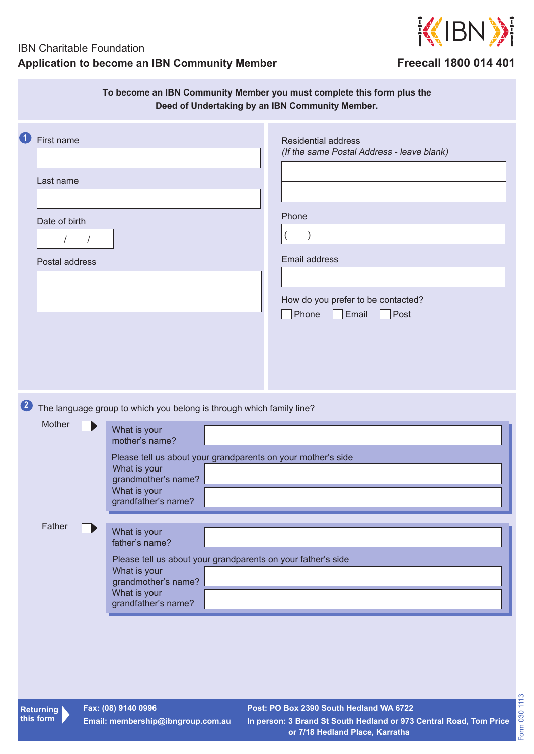## IBN Charitable Foundation Application to become an IBN Community Member<br>
Freecall 1800 014 401

## **KIBN**

|                                                            | To become an IBN Community Member you must complete this form plus the<br>Deed of Undertaking by an IBN Community Member.                                                                                                                                                                                                                                                                                                            |
|------------------------------------------------------------|--------------------------------------------------------------------------------------------------------------------------------------------------------------------------------------------------------------------------------------------------------------------------------------------------------------------------------------------------------------------------------------------------------------------------------------|
| First name<br>Last name<br>Date of birth<br>Postal address | <b>Residential address</b><br>(If the same Postal Address - leave blank)<br>Phone<br>Email address<br>How do you prefer to be contacted?<br>Post<br>Phone<br>Email                                                                                                                                                                                                                                                                   |
| $\left( 2\right)$<br>Mother<br>Father                      | The language group to which you belong is through which family line?<br>What is your<br>mother's name?<br>Please tell us about your grandparents on your mother's side<br>What is your<br>grandmother's name?<br>What is your<br>grandfather's name?<br>What is your<br>father's name?<br>Please tell us about your grandparents on your father's side<br>What is your<br>grandmother's name?<br>What is your<br>grandfather's name? |

**Returning this form**

**Fax: (08) 9140 0996 Post: PO Box 2390 South Hedland WA 6722 Email: membership@ibngroup.com.au In person: 3 Brand St South Hedland or 973 Central Road, Tom Price or 7/18 Hedland Place, Karratha**